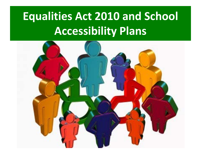## **Equalities Act 2010 and School Accessibility Plans**

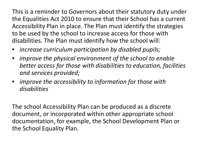This is a reminder to Governors about their statutory duty under the Equalities Act 2010 to ensure that their School has a current Accessibility Plan in place. The Plan must identify the strategies to be used by the school to increase access for those with disabilities. The Plan must identify how the school will:

- *increase curriculum participation by disabled pupils;*
- *improve the physical environment of the school to enable better access for those with disabilities to education, facilities and services provided;*
- *improve the accessibility to information for those with disabilities*

The school Accessibility Plan can be produced as a discrete document, or incorporated within other appropriate school documentation, for example, the School Development Plan or the School Equality Plan.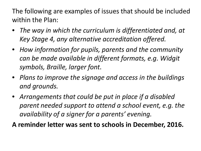The following are examples of issues that should be included within the Plan:

- *The way in which the curriculum is differentiated and, at Key Stage 4, any alternative accreditation offered.*
- *How information for pupils, parents and the community can be made available in different formats, e.g. Widgit symbols, Braille, larger font.*
- *Plans to improve the signage and access in the buildings and grounds.*
- *Arrangements that could be put in place if a disabled parent needed support to attend a school event, e.g. the availability of a signer for a parents' evening.*

**A reminder letter was sent to schools in December, 2016.**